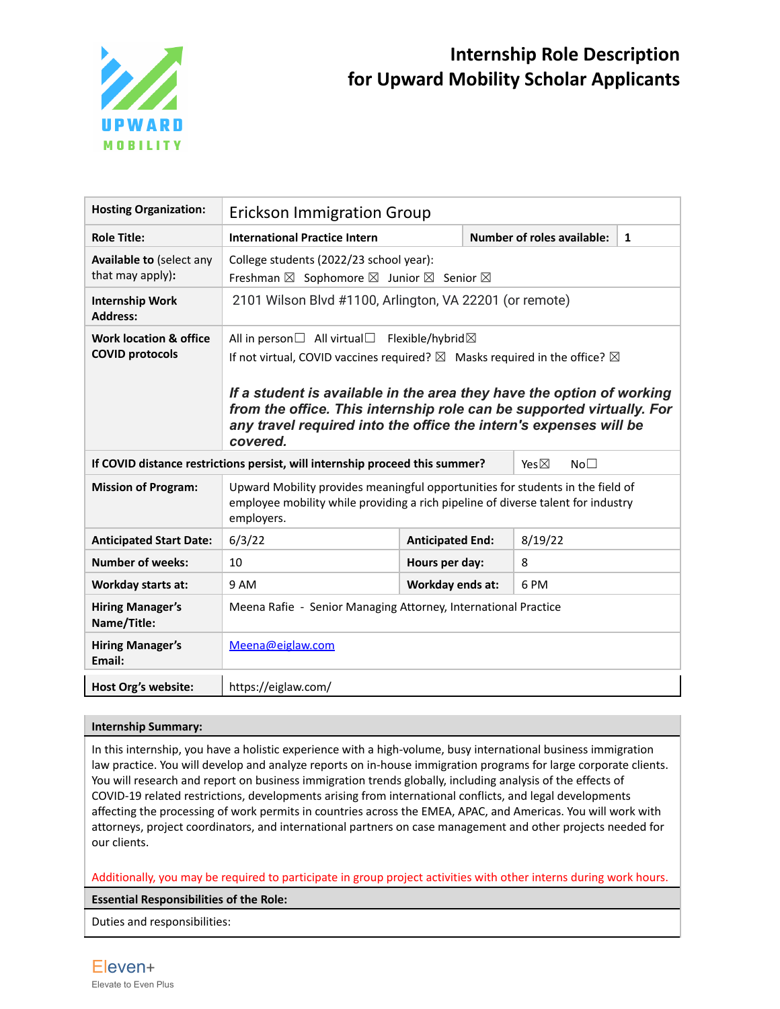

## **Internship Role Description for Upward Mobility Scholar Applicants**

| <b>Hosting Organization:</b>                                | <b>Erickson Immigration Group</b>                                                                                                                                                                                                                                                                                                 |                         |                                   |              |  |
|-------------------------------------------------------------|-----------------------------------------------------------------------------------------------------------------------------------------------------------------------------------------------------------------------------------------------------------------------------------------------------------------------------------|-------------------------|-----------------------------------|--------------|--|
| <b>Role Title:</b>                                          | <b>International Practice Intern</b>                                                                                                                                                                                                                                                                                              |                         | <b>Number of roles available:</b> | $\mathbf{1}$ |  |
| Available to (select any<br>that may apply):                | College students (2022/23 school year):<br>Freshman ⊠ Sophomore ⊠ Junior ⊠ Senior ⊠                                                                                                                                                                                                                                               |                         |                                   |              |  |
| <b>Internship Work</b><br><b>Address:</b>                   | 2101 Wilson Blvd #1100, Arlington, VA 22201 (or remote)                                                                                                                                                                                                                                                                           |                         |                                   |              |  |
| <b>Work location &amp; office</b><br><b>COVID protocols</b> | If not virtual, COVID vaccines required? $\boxtimes$ Masks required in the office? $\boxtimes$<br>If a student is available in the area they have the option of working<br>from the office. This internship role can be supported virtually. For<br>any travel required into the office the intern's expenses will be<br>covered. |                         |                                   |              |  |
|                                                             | If COVID distance restrictions persist, will internship proceed this summer?<br>Yes $\boxtimes$<br>No <sub>1</sub>                                                                                                                                                                                                                |                         |                                   |              |  |
| <b>Mission of Program:</b>                                  | Upward Mobility provides meaningful opportunities for students in the field of<br>employee mobility while providing a rich pipeline of diverse talent for industry<br>employers.                                                                                                                                                  |                         |                                   |              |  |
| <b>Anticipated Start Date:</b>                              | 6/3/22                                                                                                                                                                                                                                                                                                                            | <b>Anticipated End:</b> | 8/19/22                           |              |  |
| <b>Number of weeks:</b>                                     | 10                                                                                                                                                                                                                                                                                                                                | Hours per day:          | 8                                 |              |  |
| Workday starts at:                                          | 9 AM                                                                                                                                                                                                                                                                                                                              | Workday ends at:        | 6 PM                              |              |  |
| <b>Hiring Manager's</b><br>Name/Title:                      | Meena Rafie - Senior Managing Attorney, International Practice                                                                                                                                                                                                                                                                    |                         |                                   |              |  |
| <b>Hiring Manager's</b><br>Email:                           | Meena@eiglaw.com                                                                                                                                                                                                                                                                                                                  |                         |                                   |              |  |
| Host Org's website:                                         | https://eiglaw.com/                                                                                                                                                                                                                                                                                                               |                         |                                   |              |  |

## **Internship Summary:**

In this internship, you have a holistic experience with a high-volume, busy international business immigration law practice. You will develop and analyze reports on in-house immigration programs for large corporate clients. You will research and report on business immigration trends globally, including analysis of the effects of COVID-19 related restrictions, developments arising from international conflicts, and legal developments affecting the processing of work permits in countries across the EMEA, APAC, and Americas. You will work with attorneys, project coordinators, and international partners on case management and other projects needed for our clients.

Additionally, you may be required to participate in group project activities with other interns during work hours.

**Essential Responsibilities of the Role:**

Duties and responsibilities: